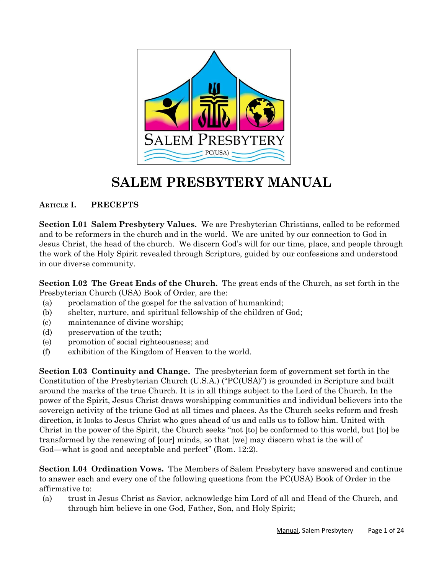

# **SALEM PRESBYTERY MANUAL**

# **ARTICLE I. PRECEPTS**

**Section I.01 Salem Presbytery Values.** We are Presbyterian Christians, called to be reformed and to be reformers in the church and in the world. We are united by our connection to God in Jesus Christ, the head of the church. We discern God's will for our time, place, and people through the work of the Holy Spirit revealed through Scripture, guided by our confessions and understood in our diverse community.

**Section I.02 The Great Ends of the Church.** The great ends of the Church, as set forth in the Presbyterian Church (USA) Book of Order, are the:

- (a) proclamation of the gospel for the salvation of humankind;
- (b) shelter, nurture, and spiritual fellowship of the children of God;
- (c) maintenance of divine worship;
- (d) preservation of the truth;
- (e) promotion of social righteousness; and
- (f) exhibition of the Kingdom of Heaven to the world.

**Section I.03 Continuity and Change.** The presbyterian form of government set forth in the Constitution of the Presbyterian Church (U.S.A.) ("PC(USA)") is grounded in Scripture and built around the marks of the true Church. It is in all things subject to the Lord of the Church. In the power of the Spirit, Jesus Christ draws worshipping communities and individual believers into the sovereign activity of the triune God at all times and places. As the Church seeks reform and fresh direction, it looks to Jesus Christ who goes ahead of us and calls us to follow him. United with Christ in the power of the Spirit, the Church seeks "not [to] be conformed to this world, but [to] be transformed by the renewing of [our] minds, so that [we] may discern what is the will of God—what is good and acceptable and perfect" (Rom. 12:2).

**Section I.04 Ordination Vows.** The Members of Salem Presbytery have answered and continue to answer each and every one of the following questions from the PC(USA) Book of Order in the affirmative to:

(a) trust in Jesus Christ as Savior, acknowledge him Lord of all and Head of the Church, and through him believe in one God, Father, Son, and Holy Spirit;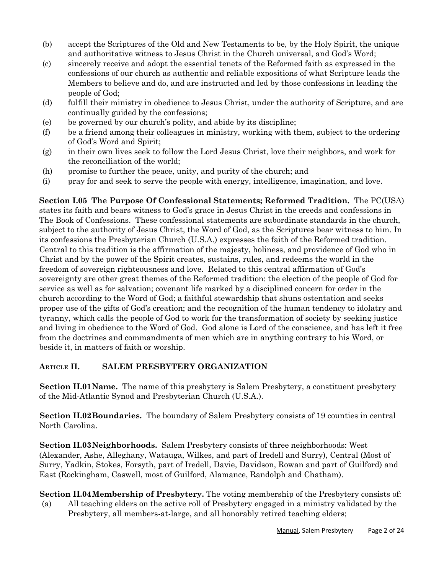- (b) accept the Scriptures of the Old and New Testaments to be, by the Holy Spirit, the unique and authoritative witness to Jesus Christ in the Church universal, and God's Word;
- (c) sincerely receive and adopt the essential tenets of the Reformed faith as expressed in the confessions of our church as authentic and reliable expositions of what Scripture leads the Members to believe and do, and are instructed and led by those confessions in leading the people of God;
- (d) fulfill their ministry in obedience to Jesus Christ, under the authority of Scripture, and are continually guided by the confessions;
- (e) be governed by our church's polity, and abide by its discipline;
- (f) be a friend among their colleagues in ministry, working with them, subject to the ordering of God's Word and Spirit;
- (g) in their own lives seek to follow the Lord Jesus Christ, love their neighbors, and work for the reconciliation of the world;
- (h) promise to further the peace, unity, and purity of the church; and
- (i) pray for and seek to serve the people with energy, intelligence, imagination, and love.

**Section I.05 The Purpose Of Confessional Statements; Reformed Tradition.** The PC(USA) states its faith and bears witness to God's grace in Jesus Christ in the creeds and confessions in The Book of Confessions. These confessional statements are subordinate standards in the church, subject to the authority of Jesus Christ, the Word of God, as the Scriptures bear witness to him. In its confessions the Presbyterian Church (U.S.A.) expresses the faith of the Reformed tradition. Central to this tradition is the affirmation of the majesty, holiness, and providence of God who in Christ and by the power of the Spirit creates, sustains, rules, and redeems the world in the freedom of sovereign righteousness and love. Related to this central affirmation of God's sovereignty are other great themes of the Reformed tradition: the election of the people of God for service as well as for salvation; covenant life marked by a disciplined concern for order in the church according to the Word of God; a faithful stewardship that shuns ostentation and seeks proper use of the gifts of God's creation; and the recognition of the human tendency to idolatry and tyranny, which calls the people of God to work for the transformation of society by seeking justice and living in obedience to the Word of God. God alone is Lord of the conscience, and has left it free from the doctrines and commandments of men which are in anything contrary to his Word, or beside it, in matters of faith or worship.

# **ARTICLE II. SALEM PRESBYTERY ORGANIZATION**

**Section II.01Name.** The name of this presbytery is Salem Presbytery, a constituent presbytery of the Mid-Atlantic Synod and Presbyterian Church (U.S.A.).

**Section II.02Boundaries.** The boundary of Salem Presbytery consists of 19 counties in central North Carolina.

**Section II.03Neighborhoods.** Salem Presbytery consists of three neighborhoods: West (Alexander, Ashe, Alleghany, Watauga, Wilkes, and part of Iredell and Surry), Central (Most of Surry, Yadkin, Stokes, Forsyth, part of Iredell, Davie, Davidson, Rowan and part of Guilford) and East (Rockingham, Caswell, most of Guilford, Alamance, Randolph and Chatham).

**Section II.04Membership of Presbytery.** The voting membership of the Presbytery consists of: (a) All teaching elders on the active roll of Presbytery engaged in a ministry validated by the Presbytery, all members-at-large, and all honorably retired teaching elders;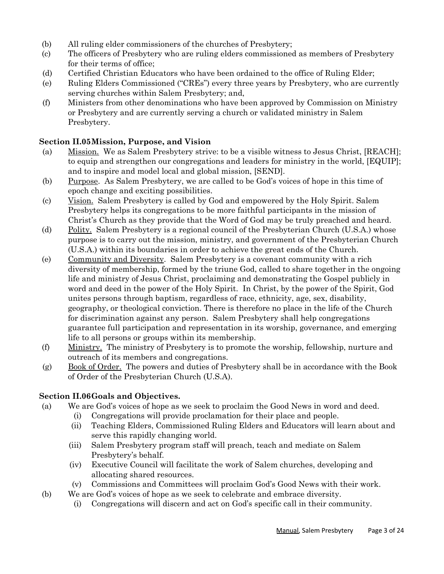- (b) All ruling elder commissioners of the churches of Presbytery;
- (c) The officers of Presbytery who are ruling elders commissioned as members of Presbytery for their terms of office;
- (d) Certified Christian Educators who have been ordained to the office of Ruling Elder;
- (e) Ruling Elders Commissioned ("CREs") every three years by Presbytery, who are currently serving churches within Salem Presbytery; and,
- (f) Ministers from other denominations who have been approved by Commission on Ministry or Presbytery and are currently serving a church or validated ministry in Salem Presbytery.

#### **Section II.05Mission, Purpose, and Vision**

- (a) Mission. We as Salem Presbytery strive: to be a visible witness to Jesus Christ, [REACH]; to equip and strengthen our congregations and leaders for ministry in the world, [EQUIP]; and to inspire and model local and global mission, [SEND].
- (b) Purpose. As Salem Presbytery, we are called to be God's voices of hope in this time of epoch change and exciting possibilities.
- (c) Vision. Salem Presbytery is called by God and empowered by the Holy Spirit. Salem Presbytery helps its congregations to be more faithful participants in the mission of Christ's Church as they provide that the Word of God may be truly preached and heard.
- (d) Polity. Salem Presbytery is a regional council of the Presbyterian Church (U.S.A.) whose purpose is to carry out the mission, ministry, and government of the Presbyterian Church (U.S.A.) within its boundaries in order to achieve the great ends of the Church.
- (e) Community and Diversity. Salem Presbytery is a covenant community with a rich diversity of membership, formed by the triune God, called to share together in the ongoing life and ministry of Jesus Christ, proclaiming and demonstrating the Gospel publicly in word and deed in the power of the Holy Spirit. In Christ, by the power of the Spirit, God unites persons through baptism, regardless of race, ethnicity, age, sex, disability, geography, or theological conviction. There is therefore no place in the life of the Church for discrimination against any person. Salem Presbytery shall help congregations guarantee full participation and representation in its worship, governance, and emerging life to all persons or groups within its membership.
- (f) Ministry. The ministry of Presbytery is to promote the worship, fellowship, nurture and outreach of its members and congregations.
- (g) Book of Order. The powers and duties of Presbytery shall be in accordance with the Book of Order of the Presbyterian Church (U.S.A).

#### **Section II.06Goals and Objectives.**

- (a) We are God's voices of hope as we seek to proclaim the Good News in word and deed.
	- (i) Congregations will provide proclamation for their place and people.
	- (ii) Teaching Elders, Commissioned Ruling Elders and Educators will learn about and serve this rapidly changing world.
	- (iii) Salem Presbytery program staff will preach, teach and mediate on Salem Presbytery's behalf.
	- (iv) Executive Council will facilitate the work of Salem churches, developing and allocating shared resources.
	- (v) Commissions and Committees will proclaim God's Good News with their work.
- (b) We are God's voices of hope as we seek to celebrate and embrace diversity.
	- (i) Congregations will discern and act on God's specific call in their community.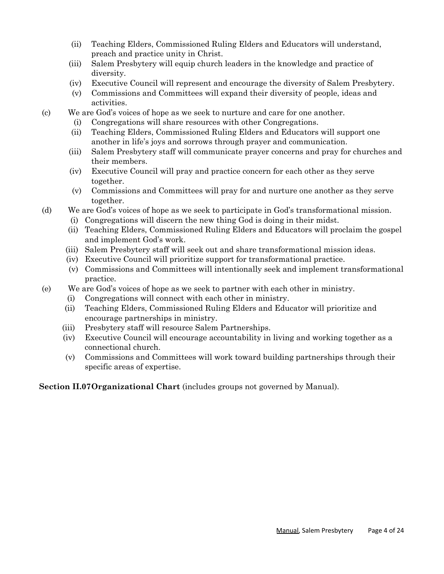- (ii) Teaching Elders, Commissioned Ruling Elders and Educators will understand, preach and practice unity in Christ.
- (iii) Salem Presbytery will equip church leaders in the knowledge and practice of diversity.
- (iv) Executive Council will represent and encourage the diversity of Salem Presbytery.
- (v) Commissions and Committees will expand their diversity of people, ideas and activities.
- (c) We are God's voices of hope as we seek to nurture and care for one another.
	- (i) Congregations will share resources with other Congregations.
	- (ii) Teaching Elders, Commissioned Ruling Elders and Educators will support one another in life's joys and sorrows through prayer and communication.
	- (iii) Salem Presbytery staff will communicate prayer concerns and pray for churches and their members.
	- (iv) Executive Council will pray and practice concern for each other as they serve together.
	- (v) Commissions and Committees will pray for and nurture one another as they serve together.
- (d) We are God's voices of hope as we seek to participate in God's transformational mission.
	- (i) Congregations will discern the new thing God is doing in their midst.
	- (ii) Teaching Elders, Commissioned Ruling Elders and Educators will proclaim the gospel and implement God's work.
	- (iii) Salem Presbytery staff will seek out and share transformational mission ideas.
	- (iv) Executive Council will prioritize support for transformational practice.
	- (v) Commissions and Committees will intentionally seek and implement transformational practice.
- (e) We are God's voices of hope as we seek to partner with each other in ministry.
	- (i) Congregations will connect with each other in ministry.
	- (ii) Teaching Elders, Commissioned Ruling Elders and Educator will prioritize and encourage partnerships in ministry.
	- (iii) Presbytery staff will resource Salem Partnerships.
	- (iv) Executive Council will encourage accountability in living and working together as a connectional church.
	- (v) Commissions and Committees will work toward building partnerships through their specific areas of expertise.

**Section II.07Organizational Chart** (includes groups not governed by Manual).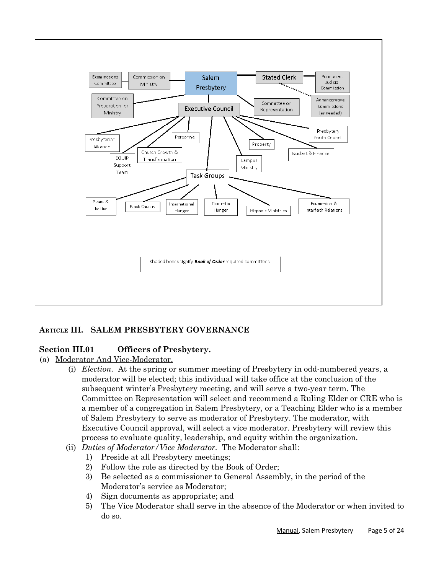

# **ARTICLE III. SALEM PRESBYTERY GOVERNANCE**

# **Section III.01 Officers of Presbytery.**

- (a) Moderator And Vice-Moderator.
	- (i) *Election.* At the spring or summer meeting of Presbytery in odd-numbered years, a moderator will be elected; this individual will take office at the conclusion of the subsequent winter's Presbytery meeting, and will serve a two-year term. The Committee on Representation will select and recommend a Ruling Elder or CRE who is a member of a congregation in Salem Presbytery, or a Teaching Elder who is a member of Salem Presbytery to serve as moderator of Presbytery. The moderator, with Executive Council approval, will select a vice moderator. Presbytery will review this process to evaluate quality, leadership, and equity within the organization.
	- (ii) *Duties of Moderator/Vice Moderator.* The Moderator shall:
		- 1) Preside at all Presbytery meetings;
		- 2) Follow the role as directed by the Book of Order;
		- 3) Be selected as a commissioner to General Assembly, in the period of the Moderator's service as Moderator;
		- 4) Sign documents as appropriate; and
		- 5) The Vice Moderator shall serve in the absence of the Moderator or when invited to do so.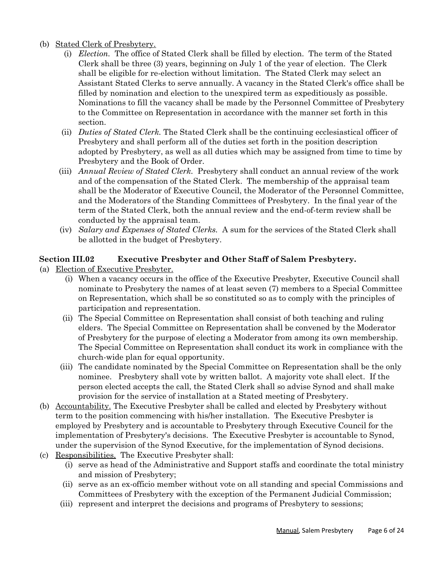#### (b) Stated Clerk of Presbytery.

- (i) *Election.* The office of Stated Clerk shall be filled by election. The term of the Stated Clerk shall be three (3) years, beginning on July 1 of the year of election. The Clerk shall be eligible for re-election without limitation. The Stated Clerk may select an Assistant Stated Clerks to serve annually. A vacancy in the Stated Clerk's office shall be filled by nomination and election to the unexpired term as expeditiously as possible. Nominations to fill the vacancy shall be made by the Personnel Committee of Presbytery to the Committee on Representation in accordance with the manner set forth in this section.
- (ii) *Duties of Stated Clerk.* The Stated Clerk shall be the continuing ecclesiastical officer of Presbytery and shall perform all of the duties set forth in the position description adopted by Presbytery, as well as all duties which may be assigned from time to time by Presbytery and the Book of Order.
- (iii) *Annual Review of Stated Clerk.* Presbytery shall conduct an annual review of the work and of the compensation of the Stated Clerk. The membership of the appraisal team shall be the Moderator of Executive Council, the Moderator of the Personnel Committee, and the Moderators of the Standing Committees of Presbytery. In the final year of the term of the Stated Clerk, both the annual review and the end-of-term review shall be conducted by the appraisal team.
- (iv) *Salary and Expenses of Stated Clerks.* A sum for the services of the Stated Clerk shall be allotted in the budget of Presbytery.

# **Section III.02 Executive Presbyter and Other Staff of Salem Presbytery.**

- (a) Election of Executive Presbyter.
	- (i) When a vacancy occurs in the office of the Executive Presbyter, Executive Council shall nominate to Presbytery the names of at least seven (7) members to a Special Committee on Representation, which shall be so constituted so as to comply with the principles of participation and representation.
	- (ii) The Special Committee on Representation shall consist of both teaching and ruling elders. The Special Committee on Representation shall be convened by the Moderator of Presbytery for the purpose of electing a Moderator from among its own membership. The Special Committee on Representation shall conduct its work in compliance with the church-wide plan for equal opportunity.
	- (iii) The candidate nominated by the Special Committee on Representation shall be the only nominee. Presbytery shall vote by written ballot. A majority vote shall elect. If the person elected accepts the call, the Stated Clerk shall so advise Synod and shall make provision for the service of installation at a Stated meeting of Presbytery.
- (b) Accountability. The Executive Presbyter shall be called and elected by Presbytery without term to the position commencing with his/her installation. The Executive Presbyter is employed by Presbytery and is accountable to Presbytery through Executive Council for the implementation of Presbytery's decisions. The Executive Presbyter is accountable to Synod, under the supervision of the Synod Executive, for the implementation of Synod decisions.
- (c) Responsibilities. The Executive Presbyter shall:
	- (i) serve as head of the Administrative and Support staffs and coordinate the total ministry and mission of Presbytery;
	- (ii) serve as an ex-officio member without vote on all standing and special Commissions and Committees of Presbytery with the exception of the Permanent Judicial Commission;
	- (iii) represent and interpret the decisions and programs of Presbytery to sessions;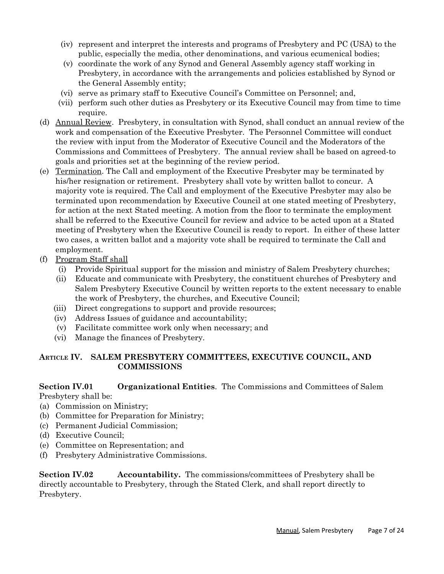- (iv) represent and interpret the interests and programs of Presbytery and PC (USA) to the public, especially the media, other denominations, and various ecumenical bodies;
- (v) coordinate the work of any Synod and General Assembly agency staff working in Presbytery, in accordance with the arrangements and policies established by Synod or the General Assembly entity;
- (vi) serve as primary staff to Executive Council's Committee on Personnel; and,
- (vii) perform such other duties as Presbytery or its Executive Council may from time to time require.
- (d) Annual Review. Presbytery, in consultation with Synod, shall conduct an annual review of the work and compensation of the Executive Presbyter. The Personnel Committee will conduct the review with input from the Moderator of Executive Council and the Moderators of the Commissions and Committees of Presbytery. The annual review shall be based on agreed-to goals and priorities set at the beginning of the review period.
- (e) Termination. The Call and employment of the Executive Presbyter may be terminated by his/her resignation or retirement. Presbytery shall vote by written ballot to concur. A majority vote is required. The Call and employment of the Executive Presbyter may also be terminated upon recommendation by Executive Council at one stated meeting of Presbytery, for action at the next Stated meeting. A motion from the floor to terminate the employment shall be referred to the Executive Council for review and advice to be acted upon at a Stated meeting of Presbytery when the Executive Council is ready to report. In either of these latter two cases, a written ballot and a majority vote shall be required to terminate the Call and employment.
- (f) Program Staff shall
	- (i) Provide Spiritual support for the mission and ministry of Salem Presbytery churches;
	- (ii) Educate and communicate with Presbytery, the constituent churches of Presbytery and Salem Presbytery Executive Council by written reports to the extent necessary to enable the work of Presbytery, the churches, and Executive Council;
	- (iii) Direct congregations to support and provide resources;
	- (iv) Address Issues of guidance and accountability;
	- (v) Facilitate committee work only when necessary; and
	- (vi) Manage the finances of Presbytery.

# **ARTICLE IV. SALEM PRESBYTERY COMMITTEES, EXECUTIVE COUNCIL, AND COMMISSIONS**

#### **Section IV.01 Organizational Entities**. The Commissions and Committees of Salem Presbytery shall be:

- (a) Commission on Ministry;
- (b) Committee for Preparation for Ministry;
- (c) Permanent Judicial Commission;
- (d) Executive Council;
- (e) Committee on Representation; and
- (f) Presbytery Administrative Commissions.

**Section IV.02 Accountability.** The commissions/committees of Presbytery shall be directly accountable to Presbytery, through the Stated Clerk, and shall report directly to Presbytery.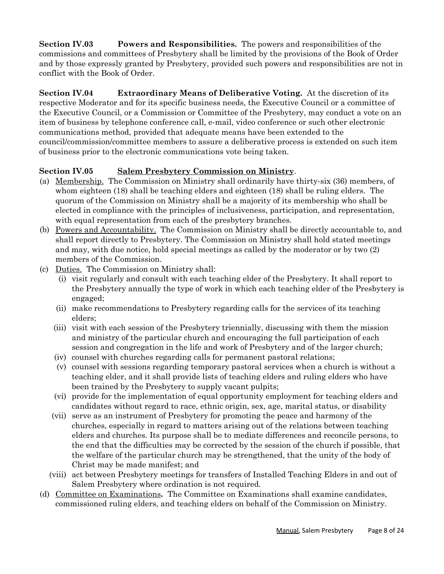**Section IV.03 Powers and Responsibilities.** The powers and responsibilities of the commissions and committees of Presbytery shall be limited by the provisions of the Book of Order and by those expressly granted by Presbytery, provided such powers and responsibilities are not in conflict with the Book of Order.

**Section IV.04 Extraordinary Means of Deliberative Voting.** At the discretion of its respective Moderator and for its specific business needs, the Executive Council or a committee of the Executive Council, or a Commission or Committee of the Presbytery, may conduct a vote on an item of business by telephone conference call, e-mail, video conference or such other electronic communications method, provided that adequate means have been extended to the council/commission/committee members to assure a deliberative process is extended on such item of business prior to the electronic communications vote being taken.

# **Section IV.05 Salem Presbytery Commission on Ministry**.

- (a) Membership. The Commission on Ministry shall ordinarily have thirty-six (36) members, of whom eighteen (18) shall be teaching elders and eighteen (18) shall be ruling elders. The quorum of the Commission on Ministry shall be a majority of its membership who shall be elected in compliance with the principles of inclusiveness, participation, and representation, with equal representation from each of the presbytery branches.
- (b) Powers and Accountability. The Commission on Ministry shall be directly accountable to, and shall report directly to Presbytery. The Commission on Ministry shall hold stated meetings and may, with due notice, hold special meetings as called by the moderator or by two (2) members of the Commission.
- (c) Duties. The Commission on Ministry shall:
	- (i) visit regularly and consult with each teaching elder of the Presbytery. It shall report to the Presbytery annually the type of work in which each teaching elder of the Presbytery is engaged;
	- (ii) make recommendations to Presbytery regarding calls for the services of its teaching elders;
	- (iii) visit with each session of the Presbytery triennially, discussing with them the mission and ministry of the particular church and encouraging the full participation of each session and congregation in the life and work of Presbytery and of the larger church;
	- (iv) counsel with churches regarding calls for permanent pastoral relations;
	- (v) counsel with sessions regarding temporary pastoral services when a church is without a teaching elder, and it shall provide lists of teaching elders and ruling elders who have been trained by the Presbytery to supply vacant pulpits;
	- (vi) provide for the implementation of equal opportunity employment for teaching elders and candidates without regard to race, ethnic origin, sex, age, marital status, or disability
	- (vii) serve as an instrument of Presbytery for promoting the peace and harmony of the churches, especially in regard to matters arising out of the relations between teaching elders and churches. Its purpose shall be to mediate differences and reconcile persons, to the end that the difficulties may be corrected by the session of the church if possible, that the welfare of the particular church may be strengthened, that the unity of the body of Christ may be made manifest; and
	- (viii) act between Presbytery meetings for transfers of Installed Teaching Elders in and out of Salem Presbytery where ordination is not required.
- (d) Committee on Examinations**.** The Committee on Examinations shall examine candidates, commissioned ruling elders, and teaching elders on behalf of the Commission on Ministry.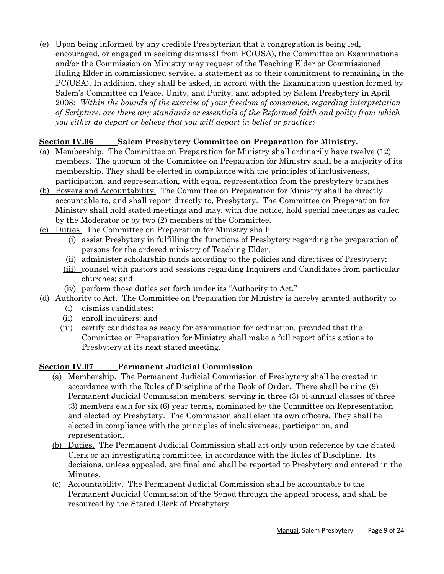(e) Upon being informed by any credible Presbyterian that a congregation is being led, encouraged, or engaged in seeking dismissal from PC(USA), the Committee on Examinations and/or the Commission on Ministry may request of the Teaching Elder or Commissioned Ruling Elder in commissioned service, a statement as to their commitment to remaining in the PC(USA). In addition, they shall be asked, in accord with the Examination question formed by Salem's Committee on Peace, Unity, and Purity, and adopted by Salem Presbytery in April 2008: *Within the bounds of the exercise of your freedom of conscience, regarding interpretation of Scripture, are there any standards or essentials of the Reformed faith and polity from which you either do depart or believe that you will depart in belief or practice?*

#### **Section IV.06 Salem Presbytery Committee on Preparation for Ministry.**

- (a) Membership. The Committee on Preparation for Ministry shall ordinarily have twelve (12) members. The quorum of the Committee on Preparation for Ministry shall be a majority of its membership. They shall be elected in compliance with the principles of inclusiveness, participation, and representation, with equal representation from the presbytery branches
- (b) Powers and Accountability. The Committee on Preparation for Ministry shall be directly accountable to, and shall report directly to, Presbytery. The Committee on Preparation for Ministry shall hold stated meetings and may, with due notice, hold special meetings as called by the Moderator or by two (2) members of the Committee.
- (c) Duties. The Committee on Preparation for Ministry shall:
	- (i) assist Presbytery in fulfilling the functions of Presbytery regarding the preparation of persons for the ordered ministry of Teaching Elder;
	- (ii) administer scholarship funds according to the policies and directives of Presbytery;
	- (iii) counsel with pastors and sessions regarding Inquirers and Candidates from particular churches; and
	- (iv) perform those duties set forth under its "Authority to Act."
- (d) Authority to Act. The Committee on Preparation for Ministry is hereby granted authority to
	- (i) dismiss candidates;
	- (ii) enroll inquirers; and
	- (iii) certify candidates as ready for examination for ordination, provided that the Committee on Preparation for Ministry shall make a full report of its actions to Presbytery at its next stated meeting.

# **Section IV.07 Permanent Judicial Commission**

- (a) Membership. The Permanent Judicial Commission of Presbytery shall be created in accordance with the Rules of Discipline of the Book of Order. There shall be nine (9) Permanent Judicial Commission members, serving in three (3) bi-annual classes of three (3) members each for six (6) year terms, nominated by the Committee on Representation and elected by Presbytery. The Commission shall elect its own officers. They shall be elected in compliance with the principles of inclusiveness, participation, and representation.
- (b) Duties. The Permanent Judicial Commission shall act only upon reference by the Stated Clerk or an investigating committee, in accordance with the Rules of Discipline. Its decisions, unless appealed, are final and shall be reported to Presbytery and entered in the Minutes.
- (c) Accountability. The Permanent Judicial Commission shall be accountable to the Permanent Judicial Commission of the Synod through the appeal process, and shall be resourced by the Stated Clerk of Presbytery.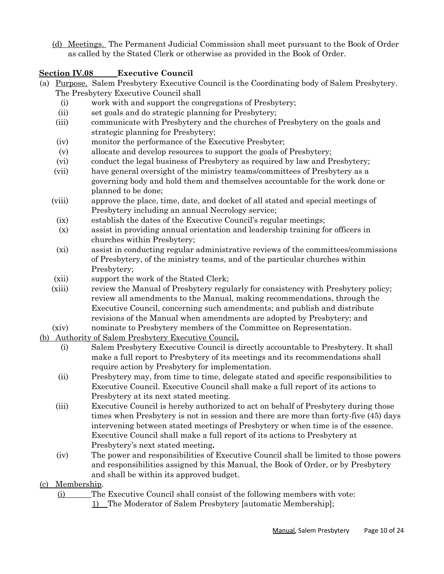(d) Meetings. The Permanent Judicial Commission shall meet pursuant to the Book of Order as called by the Stated Clerk or otherwise as provided in the Book of Order.

# **Section IV.08 Executive Council**

- (a) Purpose. Salem Presbytery Executive Council is the Coordinating body of Salem Presbytery. The Presbytery Executive Council shall
	- (i) work with and support the congregations of Presbytery;
	- (ii) set goals and do strategic planning for Presbytery;
	- (iii) communicate with Presbytery and the churches of Presbytery on the goals and strategic planning for Presbytery;
	- (iv) monitor the performance of the Executive Presbyter;
	- (v) allocate and develop resources to support the goals of Presbytery;
	- (vi) conduct the legal business of Presbytery as required by law and Presbytery;
	- (vii) have general oversight of the ministry teams/committees of Presbytery as a governing body and hold them and themselves accountable for the work done or planned to be done;
	- (viii) approve the place, time, date, and docket of all stated and special meetings of Presbytery including an annual Necrology service;
		- (ix) establish the dates of the Executive Council's regular meetings;
		- (x) assist in providing annual orientation and leadership training for officers in churches within Presbytery;
		- (xi) assist in conducting regular administrative reviews of the committees/commissions of Presbytery, of the ministry teams, and of the particular churches within Presbytery;
	- (xii) support the work of the Stated Clerk;
	- (xiii) review the Manual of Presbytery regularly for consistency with Presbytery policy; review all amendments to the Manual, making recommendations, through the Executive Council, concerning such amendments; and publish and distribute revisions of the Manual when amendments are adopted by Presbytery; and
	- (xiv) nominate to Presbytery members of the Committee on Representation.
- (b) Authority of Salem Presbytery Executive Council**.**
	- (i) Salem Presbytery Executive Council is directly accountable to Presbytery. It shall make a full report to Presbytery of its meetings and its recommendations shall require action by Presbytery for implementation.
	- (ii) Presbytery may, from time to time, delegate stated and specific responsibilities to Executive Council. Executive Council shall make a full report of its actions to Presbytery at its next stated meeting.
	- (iii) Executive Council is hereby authorized to act on behalf of Presbytery during those times when Presbytery is not in session and there are more than forty-five (45) days intervening between stated meetings of Presbytery or when time is of the essence. Executive Council shall make a full report of its actions to Presbytery at Presbytery's next stated meeting**.**
	- (iv) The power and responsibilities of Executive Council shall be limited to those powers and responsibilities assigned by this Manual, the Book of Order, or by Presbytery and shall be within its approved budget.
- (c) Membership.

(i) The Executive Council shall consist of the following members with vote:

1) The Moderator of Salem Presbytery [automatic Membership];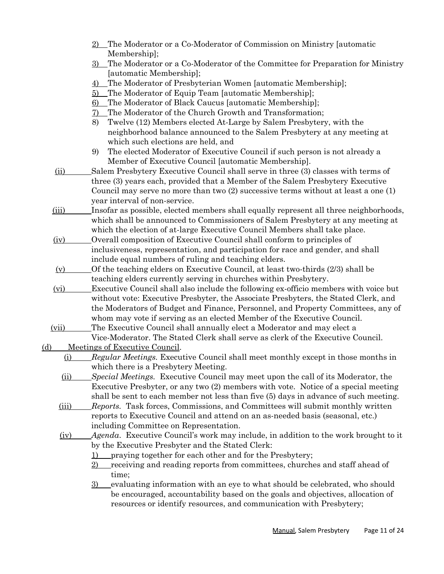- 2) The Moderator or a Co-Moderator of Commission on Ministry [automatic Membership];
- 3) The Moderator or a Co-Moderator of the Committee for Preparation for Ministry [automatic Membership];
- 4) The Moderator of Presbyterian Women [automatic Membership];
- 5) The Moderator of Equip Team [automatic Membership];
- 6) The Moderator of Black Caucus [automatic Membership];
- 7) The Moderator of the Church Growth and Transformation;
- 8) Twelve (12) Members elected At-Large by Salem Presbytery, with the neighborhood balance announced to the Salem Presbytery at any meeting at which such elections are held, and
- 9) The elected Moderator of Executive Council if such person is not already a Member of Executive Council [automatic Membership].
- (ii) Salem Presbytery Executive Council shall serve in three (3) classes with terms of three (3) years each, provided that a Member of the Salem Presbytery Executive Council may serve no more than two (2) successive terms without at least a one (1) year interval of non-service.
- (iii) Insofar as possible, elected members shall equally represent all three neighborhoods, which shall be announced to Commissioners of Salem Presbytery at any meeting at which the election of at-large Executive Council Members shall take place.
- (iv) Overall composition of Executive Council shall conform to principles of inclusiveness, representation, and participation for race and gender, and shall include equal numbers of ruling and teaching elders.
- $(v)$  Of the teaching elders on Executive Council, at least two-thirds  $(2/3)$  shall be teaching elders currently serving in churches within Presbytery.
- $(vi)$  Executive Council shall also include the following ex-officio members with voice but without vote: Executive Presbyter, the Associate Presbyters, the Stated Clerk, and the Moderators of Budget and Finance, Personnel, and Property Committees, any of whom may vote if serving as an elected Member of the Executive Council.
- (vii) The Executive Council shall annually elect a Moderator and may elect a Vice-Moderator. The Stated Clerk shall serve as clerk of the Executive Council.

(d) Meetings of Executive Council.

- (i) *Regular Meetings.* Executive Council shall meet monthly except in those months in which there is a Presbytery Meeting.
- (ii) *Special Meetings.* Executive Council may meet upon the call of its Moderator, the Executive Presbyter, or any two (2) members with vote. Notice of a special meeting shall be sent to each member not less than five (5) days in advance of such meeting.
- (iii) *Reports.* Task forces, Commissions, and Committees will submit monthly written reports to Executive Council and attend on an as-needed basis (seasonal, etc.) including Committee on Representation.
- (iv) *Agenda*. Executive Council's work may include, in addition to the work brought to it by the Executive Presbyter and the Stated Clerk:
	- 1) praying together for each other and for the Presbytery;
	- 2) receiving and reading reports from committees, churches and staff ahead of time;
	- 3) evaluating information with an eye to what should be celebrated, who should be encouraged, accountability based on the goals and objectives, allocation of resources or identify resources, and communication with Presbytery;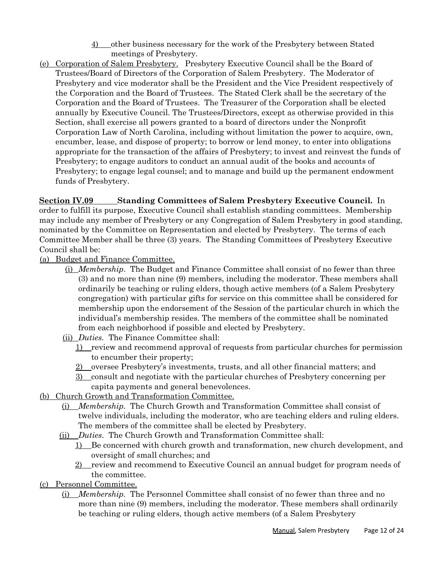- 4) other business necessary for the work of the Presbytery between Stated meetings of Presbytery.
- (e) Corporation of Salem Presbytery. Presbytery Executive Council shall be the Board of Trustees/Board of Directors of the Corporation of Salem Presbytery. The Moderator of Presbytery and vice moderator shall be the President and the Vice President respectively of the Corporation and the Board of Trustees. The Stated Clerk shall be the secretary of the Corporation and the Board of Trustees. The Treasurer of the Corporation shall be elected annually by Executive Council. The Trustees/Directors, except as otherwise provided in this Section, shall exercise all powers granted to a board of directors under the Nonprofit Corporation Law of North Carolina, including without limitation the power to acquire, own, encumber, lease, and dispose of property; to borrow or lend money, to enter into obligations appropriate for the transaction of the affairs of Presbytery; to invest and reinvest the funds of Presbytery; to engage auditors to conduct an annual audit of the books and accounts of Presbytery; to engage legal counsel; and to manage and build up the permanent endowment funds of Presbytery.

#### **Section IV.09 Standing Committees of Salem Presbytery Executive Council.** In

order to fulfill its purpose, Executive Council shall establish standing committees. Membership may include any member of Presbytery or any Congregation of Salem Presbytery in good standing, nominated by the Committee on Representation and elected by Presbytery. The terms of each Committee Member shall be three (3) years. The Standing Committees of Presbytery Executive Council shall be:

#### (a) Budget and Finance Committee.

- (i) *Membership*. The Budget and Finance Committee shall consist of no fewer than three (3) and no more than nine (9) members, including the moderator. These members shall ordinarily be teaching or ruling elders, though active members (of a Salem Presbytery congregation) with particular gifts for service on this committee shall be considered for membership upon the endorsement of the Session of the particular church in which the individual's membership resides. The members of the committee shall be nominated from each neighborhood if possible and elected by Presbytery.
- (ii) *Duties.* The Finance Committee shall:
	- 1) review and recommend approval of requests from particular churches for permission to encumber their property;
	- 2) oversee Presbytery's investments, trusts, and all other financial matters; and
	- 3) consult and negotiate with the particular churches of Presbytery concerning per capita payments and general benevolences.
- (b) Church Growth and Transformation Committee.
	- (i) *Membership.* The Church Growth and Transformation Committee shall consist of twelve individuals, including the moderator, who are teaching elders and ruling elders. The members of the committee shall be elected by Presbytery.
	- (ii) *Duties*. The Church Growth and Transformation Committee shall:
		- 1) Be concerned with church growth and transformation, new church development, and oversight of small churches; and
		- 2) review and recommend to Executive Council an annual budget for program needs of the committee.
- (c) Personnel Committee.
	- (i) *Membership.* The Personnel Committee shall consist of no fewer than three and no more than nine (9) members, including the moderator. These members shall ordinarily be teaching or ruling elders, though active members (of a Salem Presbytery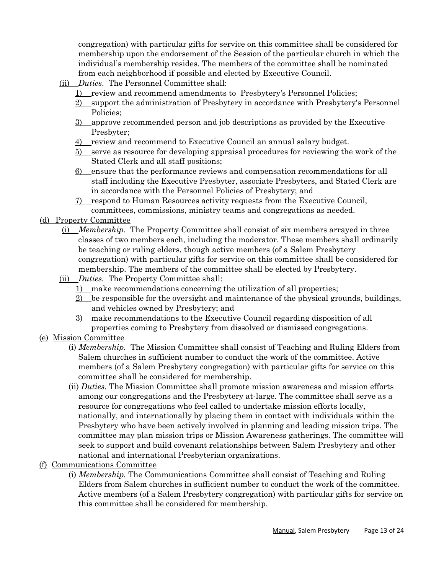congregation) with particular gifts for service on this committee shall be considered for membership upon the endorsement of the Session of the particular church in which the individual's membership resides. The members of the committee shall be nominated from each neighborhood if possible and elected by Executive Council.

- (ii) *Duties*. The Personnel Committee shall:
	- 1) review and recommend amendments to Presbytery's Personnel Policies;
	- 2) support the administration of Presbytery in accordance with Presbytery's Personnel Policies;
	- 3) approve recommended person and job descriptions as provided by the Executive Presbyter;
	- 4) review and recommend to Executive Council an annual salary budget.
	- 5) serve as resource for developing appraisal procedures for reviewing the work of the Stated Clerk and all staff positions;
	- 6) ensure that the performance reviews and compensation recommendations for all staff including the Executive Presbyter, associate Presbyters, and Stated Clerk are in accordance with the Personnel Policies of Presbytery; and
	- 7) respond to Human Resources activity requests from the Executive Council, committees, commissions, ministry teams and congregations as needed.

#### (d) Property Committee

- (i) *Membership*. The Property Committee shall consist of six members arrayed in three classes of two members each, including the moderator. These members shall ordinarily be teaching or ruling elders, though active members (of a Salem Presbytery congregation) with particular gifts for service on this committee shall be considered for membership. The members of the committee shall be elected by Presbytery.
- (ii) *Duties.* The Property Committee shall:
	- 1) make recommendations concerning the utilization of all properties;
	- 2) be responsible for the oversight and maintenance of the physical grounds, buildings, and vehicles owned by Presbytery; and
	- 3) make recommendations to the Executive Council regarding disposition of all properties coming to Presbytery from dissolved or dismissed congregations.
- (e) Mission Committee
	- (i) *Membership.* The Mission Committee shall consist of Teaching and Ruling Elders from Salem churches in sufficient number to conduct the work of the committee. Active members (of a Salem Presbytery congregation) with particular gifts for service on this committee shall be considered for membership.
	- (ii) *Duties.* The Mission Committee shall promote mission awareness and mission efforts among our congregations and the Presbytery at-large. The committee shall serve as a resource for congregations who feel called to undertake mission efforts locally, nationally, and internationally by placing them in contact with individuals within the Presbytery who have been actively involved in planning and leading mission trips. The committee may plan mission trips or Mission Awareness gatherings. The committee will seek to support and build covenant relationships between Salem Presbytery and other national and international Presbyterian organizations.
- (f) Communications Committee
	- (i) *Membership.* The Communications Committee shall consist of Teaching and Ruling Elders from Salem churches in sufficient number to conduct the work of the committee. Active members (of a Salem Presbytery congregation) with particular gifts for service on this committee shall be considered for membership.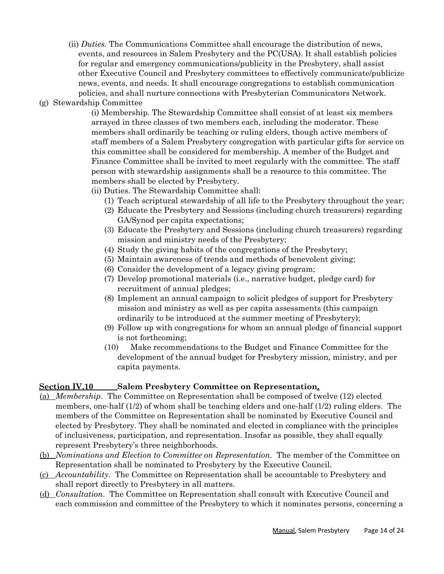- (ii) *Duties.* The Communications Committee shall encourage the distribution of news, events, and resources in Salem Presbytery and the PC(USA). It shall establish policies for regular and emergency communications/publicity in the Presbytery, shall assist other Executive Council and Presbytery committees to effectively communicate/publicize news, events, and needs. It shall encourage congregations to establish communication policies, and shall nurture connections with Presbyterian Communicators Network.
- (g) Stewardship Committee

(i) Membership. The Stewardship Committee shall consist of at least six members arrayed in three classes of two members each, including the moderator. These members shall ordinarily be teaching or ruling elders, though active members of staff members of a Salem Presbytery congregation with particular gifts for service on this committee shall be considered for membership. A member of the Budget and Finance Committee shall be invited to meet regularly with the committee. The staff person with stewardship assignments shall be a resource to this committee. The members shall be elected by Presbytery.

(ii) Duties. The Stewardship Committee shall:

- (1) Teach scriptural stewardship of all life to the Presbytery throughout the year;
- (2) Educate the Presbytery and Sessions (including church treasurers) regarding GA/Synod per capita expectations;
- (3) Educate the Presbytery and Sessions (including church treasurers) regarding mission and ministry needs of the Presbytery;
- (4) Study the giving habits of the congregations of the Presbytery;
- (5) Maintain awareness of trends and methods of benevolent giving;
- (6) Consider the development of a legacy giving program;
- (7) Develop promotional materials (i.e., narrative budget, pledge card) for recruitment of annual pledges;
- (8) Implement an annual campaign to solicit pledges of support for Presbytery mission and ministry as well as per capita assessments (this campaign ordinarily to be introduced at the summer meeting of Presbytery);
- (9) Follow up with congregations for whom an annual pledge of financial support is not forthcoming;
- (10) Make recommendations to the Budget and Finance Committee for the development of the annual budget for Presbytery mission, ministry, and per capita payments.

# **Section IV.10 Salem Presbytery Committee on Representation.**

- (a) *Membership*. The Committee on Representation shall be composed of twelve (12) elected members, one-half (1/2) of whom shall be teaching elders and one-half (1/2) ruling elders. The members of the Committee on Representation shall be nominated by Executive Council and elected by Presbytery. They shall be nominated and elected in compliance with the principles of inclusiveness, participation, and representation. Insofar as possible, they shall equally represent Presbytery's three neighborhoods.
- (b) *Nominations and Election to Committee on Representation.* The member of the Committee on Representation shall be nominated to Presbytery by the Executive Council.
- (c) *Accountability*. The Committee on Representation shall be accountable to Presbytery and shall report directly to Presbytery in all matters.
- (d) *Consultation*. The Committee on Representation shall consult with Executive Council and each commission and committee of the Presbytery to which it nominates persons, concerning a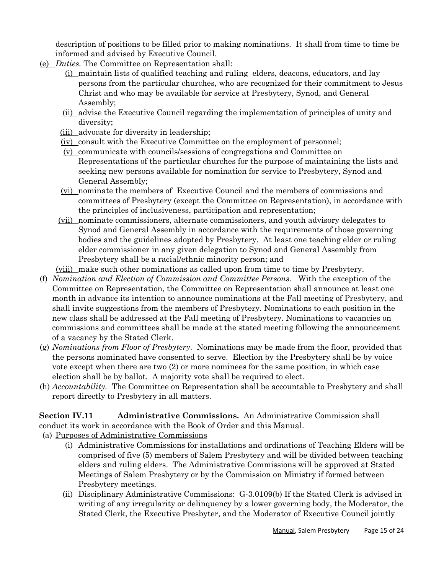description of positions to be filled prior to making nominations. It shall from time to time be informed and advised by Executive Council.

- (e) *Duties.* The Committee on Representation shall:
	- (i) maintain lists of qualified teaching and ruling elders, deacons, educators, and lay persons from the particular churches, who are recognized for their commitment to Jesus Christ and who may be available for service at Presbytery, Synod, and General Assembly;
	- (ii) advise the Executive Council regarding the implementation of principles of unity and diversity;
	- (iii) advocate for diversity in leadership;
	- (iv) consult with the Executive Committee on the employment of personnel;
	- $(y)$  communicate with councils/sessions of congregations and Committee on Representations of the particular churches for the purpose of maintaining the lists and seeking new persons available for nomination for service to Presbytery, Synod and General Assembly;
	- (vi) nominate the members of Executive Council and the members of commissions and committees of Presbytery (except the Committee on Representation), in accordance with the principles of inclusiveness, participation and representation;
	- (vii) nominate commissioners, alternate commissioners, and youth advisory delegates to Synod and General Assembly in accordance with the requirements of those governing bodies and the guidelines adopted by Presbytery. At least one teaching elder or ruling elder commissioner in any given delegation to Synod and General Assembly from Presbytery shall be a racial/ethnic minority person; and
	- (viii) make such other nominations as called upon from time to time by Presbytery.
- (f) *Nomination and Election of Commission and Committee Persons.* With the exception of the Committee on Representation, the Committee on Representation shall announce at least one month in advance its intention to announce nominations at the Fall meeting of Presbytery, and shall invite suggestions from the members of Presbytery. Nominations to each position in the new class shall be addressed at the Fall meeting of Presbytery. Nominations to vacancies on commissions and committees shall be made at the stated meeting following the announcement of a vacancy by the Stated Clerk.
- (g) *Nominations from Floor of Presbytery*. Nominations may be made from the floor, provided that the persons nominated have consented to serve. Election by the Presbytery shall be by voice vote except when there are two (2) or more nominees for the same position, in which case election shall be by ballot. A majority vote shall be required to elect.
- (h) *Accountability.* The Committee on Representation shall be accountable to Presbytery and shall report directly to Presbytery in all matters.

**Section IV.11 Administrative Commissions.** An Administrative Commission shall conduct its work in accordance with the Book of Order and this Manual.

- (a) Purposes of Administrative Commissions
	- (i) Administrative Commissions for installations and ordinations of Teaching Elders will be comprised of five (5) members of Salem Presbytery and will be divided between teaching elders and ruling elders. The Administrative Commissions will be approved at Stated Meetings of Salem Presbytery or by the Commission on Ministry if formed between Presbytery meetings.
	- (ii) Disciplinary Administrative Commissions: G-3.0109(b) If the Stated Clerk is advised in writing of any irregularity or delinquency by a lower governing body, the Moderator, the Stated Clerk, the Executive Presbyter, and the Moderator of Executive Council jointly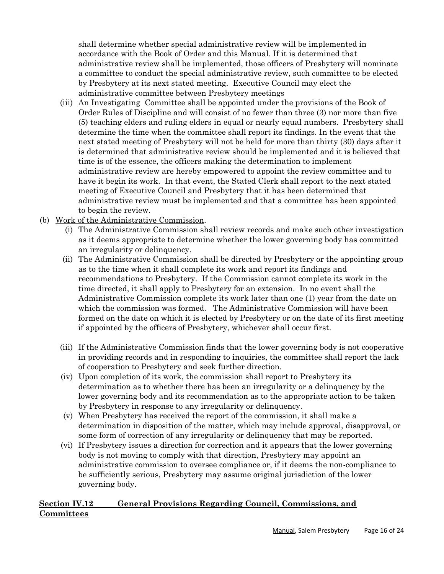shall determine whether special administrative review will be implemented in accordance with the Book of Order and this Manual. If it is determined that administrative review shall be implemented, those officers of Presbytery will nominate a committee to conduct the special administrative review, such committee to be elected by Presbytery at its next stated meeting. Executive Council may elect the administrative committee between Presbytery meetings

- (iii) An Investigating Committee shall be appointed under the provisions of the Book of Order Rules of Discipline and will consist of no fewer than three (3) nor more than five (5) teaching elders and ruling elders in equal or nearly equal numbers. Presbytery shall determine the time when the committee shall report its findings. In the event that the next stated meeting of Presbytery will not be held for more than thirty (30) days after it is determined that administrative review should be implemented and it is believed that time is of the essence, the officers making the determination to implement administrative review are hereby empowered to appoint the review committee and to have it begin its work. In that event, the Stated Clerk shall report to the next stated meeting of Executive Council and Presbytery that it has been determined that administrative review must be implemented and that a committee has been appointed to begin the review.
- (b) Work of the Administrative Commission.
	- (i) The Administrative Commission shall review records and make such other investigation as it deems appropriate to determine whether the lower governing body has committed an irregularity or delinquency.
	- (ii) The Administrative Commission shall be directed by Presbytery or the appointing group as to the time when it shall complete its work and report its findings and recommendations to Presbytery. If the Commission cannot complete its work in the time directed, it shall apply to Presbytery for an extension. In no event shall the Administrative Commission complete its work later than one (1) year from the date on which the commission was formed. The Administrative Commission will have been formed on the date on which it is elected by Presbytery or on the date of its first meeting if appointed by the officers of Presbytery, whichever shall occur first.
	- (iii) If the Administrative Commission finds that the lower governing body is not cooperative in providing records and in responding to inquiries, the committee shall report the lack of cooperation to Presbytery and seek further direction.
	- (iv) Upon completion of its work, the commission shall report to Presbytery its determination as to whether there has been an irregularity or a delinquency by the lower governing body and its recommendation as to the appropriate action to be taken by Presbytery in response to any irregularity or delinquency.
	- (v) When Presbytery has received the report of the commission, it shall make a determination in disposition of the matter, which may include approval, disapproval, or some form of correction of any irregularity or delinquency that may be reported.
	- (vi) If Presbytery issues a direction for correction and it appears that the lower governing body is not moving to comply with that direction, Presbytery may appoint an administrative commission to oversee compliance or, if it deems the non-compliance to be sufficiently serious, Presbytery may assume original jurisdiction of the lower governing body.

# **Section IV.12 General Provisions Regarding Council, Commissions, and Committees**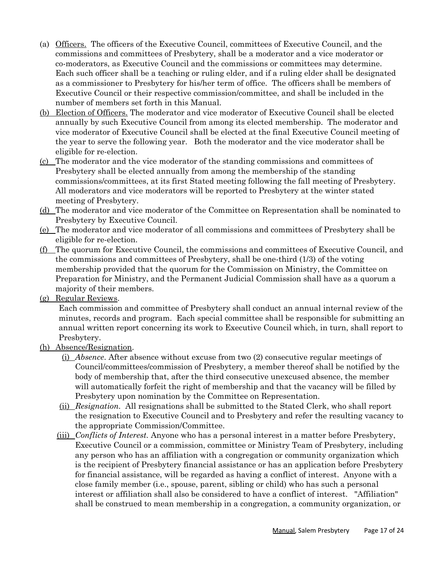- (a) Officers. The officers of the Executive Council, committees of Executive Council, and the commissions and committees of Presbytery, shall be a moderator and a vice moderator or co-moderators, as Executive Council and the commissions or committees may determine. Each such officer shall be a teaching or ruling elder, and if a ruling elder shall be designated as a commissioner to Presbytery for his/her term of office. The officers shall be members of Executive Council or their respective commission/committee, and shall be included in the number of members set forth in this Manual.
- (b) Election of Officers. The moderator and vice moderator of Executive Council shall be elected annually by such Executive Council from among its elected membership. The moderator and vice moderator of Executive Council shall be elected at the final Executive Council meeting of the year to serve the following year. Both the moderator and the vice moderator shall be eligible for re-election.
- (c) The moderator and the vice moderator of the standing commissions and committees of Presbytery shall be elected annually from among the membership of the standing commissions/committees, at its first Stated meeting following the fall meeting of Presbytery. All moderators and vice moderators will be reported to Presbytery at the winter stated meeting of Presbytery.
- (d) The moderator and vice moderator of the Committee on Representation shall be nominated to Presbytery by Executive Council.
- (e) The moderator and vice moderator of all commissions and committees of Presbytery shall be eligible for re-election.
- (f) The quorum for Executive Council, the commissions and committees of Executive Council, and the commissions and committees of Presbytery, shall be one-third (1/3) of the voting membership provided that the quorum for the Commission on Ministry, the Committee on Preparation for Ministry, and the Permanent Judicial Commission shall have as a quorum a majority of their members.
- (g) Regular Reviews.

Each commission and committee of Presbytery shall conduct an annual internal review of the minutes, records and program. Each special committee shall be responsible for submitting an annual written report concerning its work to Executive Council which, in turn, shall report to Presbytery.

- (h) Absence/Resignation.
	- (i) *Absence*. After absence without excuse from two (2) consecutive regular meetings of Council/committees/commission of Presbytery, a member thereof shall be notified by the body of membership that, after the third consecutive unexcused absence, the member will automatically forfeit the right of membership and that the vacancy will be filled by Presbytery upon nomination by the Committee on Representation.
	- (ii) *Resignation.* All resignations shall be submitted to the Stated Clerk, who shall report the resignation to Executive Council and to Presbytery and refer the resulting vacancy to the appropriate Commission/Committee.
	- (iii) *Conflicts of Interest.* Anyone who has a personal interest in a matter before Presbytery, Executive Council or a commission, committee or Ministry Team of Presbytery, including any person who has an affiliation with a congregation or community organization which is the recipient of Presbytery financial assistance or has an application before Presbytery for financial assistance, will be regarded as having a conflict of interest. Anyone with a close family member (i.e., spouse, parent, sibling or child) who has such a personal interest or affiliation shall also be considered to have a conflict of interest. "Affiliation" shall be construed to mean membership in a congregation, a community organization, or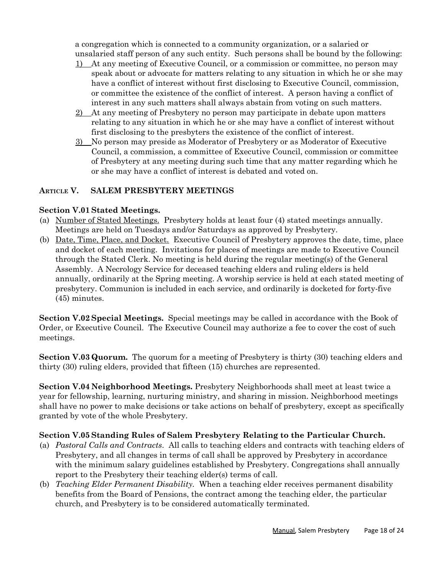a congregation which is connected to a community organization, or a salaried or unsalaried staff person of any such entity. Such persons shall be bound by the following:

- 1) At any meeting of Executive Council, or a commission or committee, no person may speak about or advocate for matters relating to any situation in which he or she may have a conflict of interest without first disclosing to Executive Council, commission, or committee the existence of the conflict of interest. A person having a conflict of interest in any such matters shall always abstain from voting on such matters.
- 2) At any meeting of Presbytery no person may participate in debate upon matters relating to any situation in which he or she may have a conflict of interest without first disclosing to the presbyters the existence of the conflict of interest.
- 3) No person may preside as Moderator of Presbytery or as Moderator of Executive Council, a commission, a committee of Executive Council, commission or committee of Presbytery at any meeting during such time that any matter regarding which he or she may have a conflict of interest is debated and voted on.

#### **ARTICLE V. SALEM PRESBYTERY MEETINGS**

#### **Section V.01 Stated Meetings.**

- (a) Number of Stated Meetings. Presbytery holds at least four (4) stated meetings annually. Meetings are held on Tuesdays and/or Saturdays as approved by Presbytery.
- (b) Date, Time, Place, and Docket. Executive Council of Presbytery approves the date, time, place and docket of each meeting. Invitations for places of meetings are made to Executive Council through the Stated Clerk. No meeting is held during the regular meeting(s) of the General Assembly. A Necrology Service for deceased teaching elders and ruling elders is held annually, ordinarily at the Spring meeting. A worship service is held at each stated meeting of presbytery. Communion is included in each service, and ordinarily is docketed for forty-five (45) minutes.

**Section V.02 Special Meetings.** Special meetings may be called in accordance with the Book of Order, or Executive Council. The Executive Council may authorize a fee to cover the cost of such meetings.

**Section V.03 Quorum.** The quorum for a meeting of Presbytery is thirty (30) teaching elders and thirty (30) ruling elders, provided that fifteen (15) churches are represented.

**Section V.04 Neighborhood Meetings.** Presbytery Neighborhoods shall meet at least twice a year for fellowship, learning, nurturing ministry, and sharing in mission. Neighborhood meetings shall have no power to make decisions or take actions on behalf of presbytery, except as specifically granted by vote of the whole Presbytery.

#### **Section V.05 Standing Rules of Salem Presbytery Relating to the Particular Church.**

- (a) *Pastoral Calls and Contracts*. All calls to teaching elders and contracts with teaching elders of Presbytery, and all changes in terms of call shall be approved by Presbytery in accordance with the minimum salary guidelines established by Presbytery. Congregations shall annually report to the Presbytery their teaching elder(s) terms of call.
- (b) *Teaching Elder Permanent Disability.* When a teaching elder receives permanent disability benefits from the Board of Pensions, the contract among the teaching elder, the particular church, and Presbytery is to be considered automatically terminated.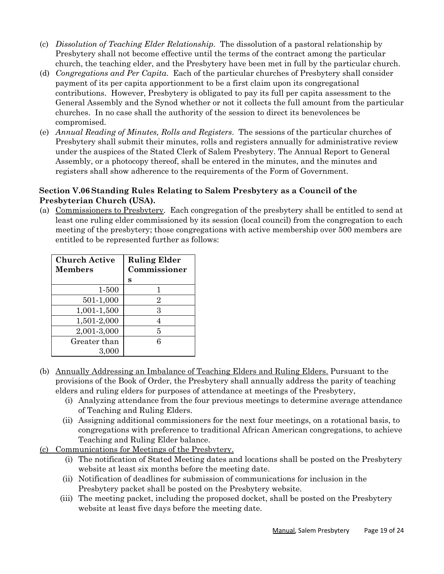- (c) *Dissolution of Teaching Elder Relationship.* The dissolution of a pastoral relationship by Presbytery shall not become effective until the terms of the contract among the particular church, the teaching elder, and the Presbytery have been met in full by the particular church.
- (d) *Congregations and Per Capita*. Each of the particular churches of Presbytery shall consider payment of its per capita apportionment to be a first claim upon its congregational contributions. However, Presbytery is obligated to pay its full per capita assessment to the General Assembly and the Synod whether or not it collects the full amount from the particular churches. In no case shall the authority of the session to direct its benevolences be compromised.
- (e) *Annual Reading of Minutes, Rolls and Registers*. The sessions of the particular churches of Presbytery shall submit their minutes, rolls and registers annually for administrative review under the auspices of the Stated Clerk of Salem Presbytery. The Annual Report to General Assembly, or a photocopy thereof, shall be entered in the minutes, and the minutes and registers shall show adherence to the requirements of the Form of Government.

# **Section V.06 Standing Rules Relating to Salem Presbytery as a Council of the Presbyterian Church (USA).**

(a) Commissioners to Presbytery. Each congregation of the presbytery shall be entitled to send at least one ruling elder commissioned by its session (local council) from the congregation to each meeting of the presbytery; those congregations with active membership over 500 members are entitled to be represented further as follows:

| <b>Church Active</b> | <b>Ruling Elder</b> |
|----------------------|---------------------|
| <b>Members</b>       | Commissioner        |
|                      | s                   |
| 1-500                | ı                   |
| 501-1,000            | $\overline{2}$      |
| 1,001-1,500          | 3                   |
| 1,501-2,000          | 4                   |
| 2,001-3,000          | 5                   |
| Greater than         | 6                   |
| 3,000                |                     |

- (b) Annually Addressing an Imbalance of Teaching Elders and Ruling Elders. Pursuant to the provisions of the Book of Order, the Presbytery shall annually address the parity of teaching elders and ruling elders for purposes of attendance at meetings of the Presbytery,
	- (i) Analyzing attendance from the four previous meetings to determine average attendance of Teaching and Ruling Elders.
	- (ii) Assigning additional commissioners for the next four meetings, on a rotational basis, to congregations with preference to traditional African American congregations, to achieve Teaching and Ruling Elder balance.
- (c) Communications for Meetings of the Presbytery.
	- (i) The notification of Stated Meeting dates and locations shall be posted on the Presbytery website at least six months before the meeting date.
	- (ii) Notification of deadlines for submission of communications for inclusion in the Presbytery packet shall be posted on the Presbytery website.
	- (iii) The meeting packet, including the proposed docket, shall be posted on the Presbytery website at least five days before the meeting date.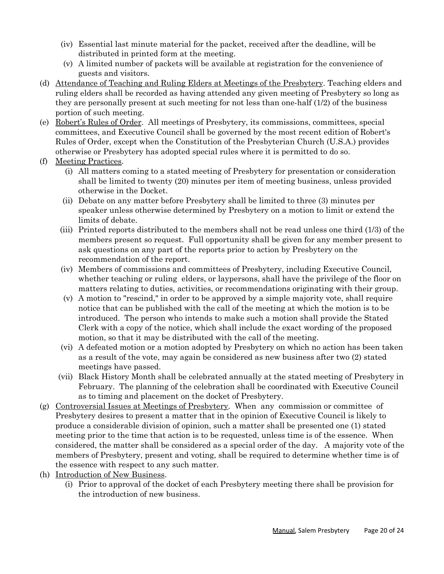- (iv) Essential last minute material for the packet, received after the deadline, will be distributed in printed form at the meeting.
- (v) A limited number of packets will be available at registration for the convenience of guests and visitors.
- (d) Attendance of Teaching and Ruling Elders at Meetings of the Presbytery. Teaching elders and ruling elders shall be recorded as having attended any given meeting of Presbytery so long as they are personally present at such meeting for not less than one-half (1/2) of the business portion of such meeting.
- (e) Robert's Rules of Order. All meetings of Presbytery, its commissions, committees, special committees, and Executive Council shall be governed by the most recent edition of Robert's Rules of Order, except when the Constitution of the Presbyterian Church (U.S.A.) provides otherwise or Presbytery has adopted special rules where it is permitted to do so.
- (f) Meeting Practices.
	- (i) All matters coming to a stated meeting of Presbytery for presentation or consideration shall be limited to twenty (20) minutes per item of meeting business, unless provided otherwise in the Docket.
	- (ii) Debate on any matter before Presbytery shall be limited to three (3) minutes per speaker unless otherwise determined by Presbytery on a motion to limit or extend the limits of debate.
	- (iii) Printed reports distributed to the members shall not be read unless one third (1/3) of the members present so request. Full opportunity shall be given for any member present to ask questions on any part of the reports prior to action by Presbytery on the recommendation of the report.
	- (iv) Members of commissions and committees of Presbytery, including Executive Council, whether teaching or ruling elders, or laypersons, shall have the privilege of the floor on matters relating to duties, activities, or recommendations originating with their group.
	- (v) A motion to "rescind," in order to be approved by a simple majority vote, shall require notice that can be published with the call of the meeting at which the motion is to be introduced. The person who intends to make such a motion shall provide the Stated Clerk with a copy of the notice, which shall include the exact wording of the proposed motion, so that it may be distributed with the call of the meeting.
	- (vi) A defeated motion or a motion adopted by Presbytery on which no action has been taken as a result of the vote, may again be considered as new business after two (2) stated meetings have passed.
	- (vii) Black History Month shall be celebrated annually at the stated meeting of Presbytery in February. The planning of the celebration shall be coordinated with Executive Council as to timing and placement on the docket of Presbytery.
- (g) Controversial Issues at Meetings of Presbytery. When any commission or committee of Presbytery desires to present a matter that in the opinion of Executive Council is likely to produce a considerable division of opinion, such a matter shall be presented one (1) stated meeting prior to the time that action is to be requested, unless time is of the essence. When considered, the matter shall be considered as a special order of the day. A majority vote of the members of Presbytery, present and voting, shall be required to determine whether time is of the essence with respect to any such matter.
- (h) Introduction of New Business.
	- (i) Prior to approval of the docket of each Presbytery meeting there shall be provision for the introduction of new business.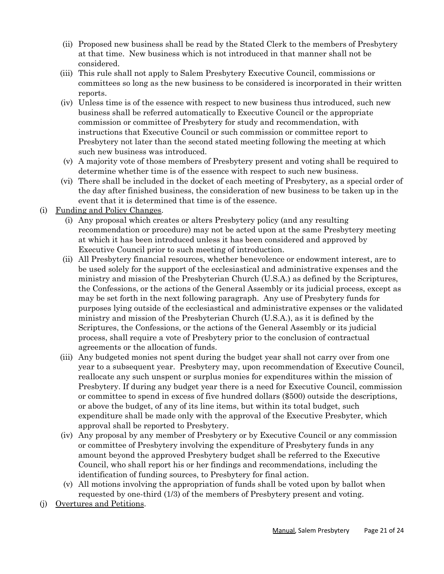- (ii) Proposed new business shall be read by the Stated Clerk to the members of Presbytery at that time. New business which is not introduced in that manner shall not be considered.
- (iii) This rule shall not apply to Salem Presbytery Executive Council, commissions or committees so long as the new business to be considered is incorporated in their written reports.
- (iv) Unless time is of the essence with respect to new business thus introduced, such new business shall be referred automatically to Executive Council or the appropriate commission or committee of Presbytery for study and recommendation, with instructions that Executive Council or such commission or committee report to Presbytery not later than the second stated meeting following the meeting at which such new business was introduced.
- (v) A majority vote of those members of Presbytery present and voting shall be required to determine whether time is of the essence with respect to such new business.
- (vi) There shall be included in the docket of each meeting of Presbytery, as a special order of the day after finished business, the consideration of new business to be taken up in the event that it is determined that time is of the essence.
- (i) Funding and Policy Changes.
	- (i) Any proposal which creates or alters Presbytery policy (and any resulting recommendation or procedure) may not be acted upon at the same Presbytery meeting at which it has been introduced unless it has been considered and approved by Executive Council prior to such meeting of introduction.
	- (ii) All Presbytery financial resources, whether benevolence or endowment interest, are to be used solely for the support of the ecclesiastical and administrative expenses and the ministry and mission of the Presbyterian Church (U.S.A.) as defined by the Scriptures, the Confessions, or the actions of the General Assembly or its judicial process, except as may be set forth in the next following paragraph. Any use of Presbytery funds for purposes lying outside of the ecclesiastical and administrative expenses or the validated ministry and mission of the Presbyterian Church (U.S.A.), as it is defined by the Scriptures, the Confessions, or the actions of the General Assembly or its judicial process, shall require a vote of Presbytery prior to the conclusion of contractual agreements or the allocation of funds.
	- (iii) Any budgeted monies not spent during the budget year shall not carry over from one year to a subsequent year. Presbytery may, upon recommendation of Executive Council, reallocate any such unspent or surplus monies for expenditures within the mission of Presbytery. If during any budget year there is a need for Executive Council, commission or committee to spend in excess of five hundred dollars (\$500) outside the descriptions, or above the budget, of any of its line items, but within its total budget, such expenditure shall be made only with the approval of the Executive Presbyter, which approval shall be reported to Presbytery.
	- (iv) Any proposal by any member of Presbytery or by Executive Council or any commission or committee of Presbytery involving the expenditure of Presbytery funds in any amount beyond the approved Presbytery budget shall be referred to the Executive Council, who shall report his or her findings and recommendations, including the identification of funding sources, to Presbytery for final action.
	- (v) All motions involving the appropriation of funds shall be voted upon by ballot when requested by one-third (1/3) of the members of Presbytery present and voting.
- (j) Overtures and Petitions.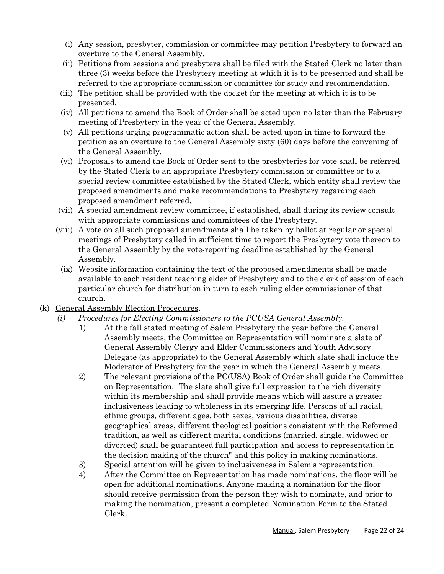- (i) Any session, presbyter, commission or committee may petition Presbytery to forward an overture to the General Assembly.
- (ii) Petitions from sessions and presbyters shall be filed with the Stated Clerk no later than three (3) weeks before the Presbytery meeting at which it is to be presented and shall be referred to the appropriate commission or committee for study and recommendation.
- (iii) The petition shall be provided with the docket for the meeting at which it is to be presented.
- (iv) All petitions to amend the Book of Order shall be acted upon no later than the February meeting of Presbytery in the year of the General Assembly.
- (v) All petitions urging programmatic action shall be acted upon in time to forward the petition as an overture to the General Assembly sixty (60) days before the convening of the General Assembly.
- (vi) Proposals to amend the Book of Order sent to the presbyteries for vote shall be referred by the Stated Clerk to an appropriate Presbytery commission or committee or to a special review committee established by the Stated Clerk, which entity shall review the proposed amendments and make recommendations to Presbytery regarding each proposed amendment referred.
- (vii) A special amendment review committee, if established, shall during its review consult with appropriate commissions and committees of the Presbytery.
- (viii) A vote on all such proposed amendments shall be taken by ballot at regular or special meetings of Presbytery called in sufficient time to report the Presbytery vote thereon to the General Assembly by the vote-reporting deadline established by the General Assembly.
- (ix) Website information containing the text of the proposed amendments shall be made available to each resident teaching elder of Presbytery and to the clerk of session of each particular church for distribution in turn to each ruling elder commissioner of that church.
- (k) General Assembly Election Procedures.
	- *(i) Procedures for Electing Commissioners to the PCUSA General Assembly.*
		- 1) At the fall stated meeting of Salem Presbytery the year before the General Assembly meets, the Committee on Representation will nominate a slate of General Assembly Clergy and Elder Commissioners and Youth Advisory Delegate (as appropriate) to the General Assembly which slate shall include the Moderator of Presbytery for the year in which the General Assembly meets.
		- 2) The relevant provisions of the PC(USA) Book of Order shall guide the Committee on Representation. The slate shall give full expression to the rich diversity within its membership and shall provide means which will assure a greater inclusiveness leading to wholeness in its emerging life. Persons of all racial, ethnic groups, different ages, both sexes, various disabilities, diverse geographical areas, different theological positions consistent with the Reformed tradition, as well as different marital conditions (married, single, widowed or divorced) shall be guaranteed full participation and access to representation in the decision making of the church" and this policy in making nominations.
		- 3) Special attention will be given to inclusiveness in Salem's representation.
		- 4) After the Committee on Representation has made nominations, the floor will be open for additional nominations. Anyone making a nomination for the floor should receive permission from the person they wish to nominate, and prior to making the nomination, present a completed Nomination Form to the Stated Clerk.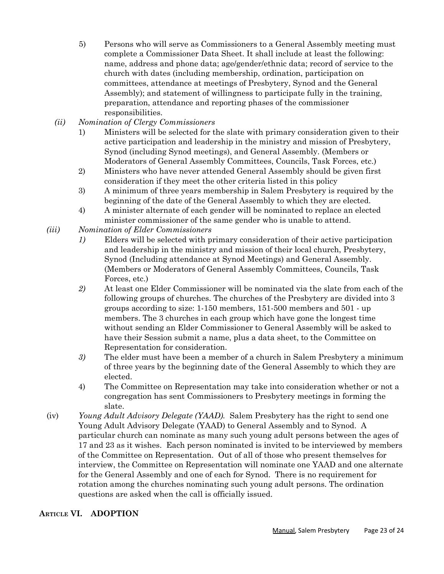- 5) Persons who will serve as Commissioners to a General Assembly meeting must complete a Commissioner Data Sheet. It shall include at least the following: name, address and phone data; age/gender/ethnic data; record of service to the church with dates (including membership, ordination, participation on committees, attendance at meetings of Presbytery, Synod and the General Assembly); and statement of willingness to participate fully in the training, preparation, attendance and reporting phases of the commissioner responsibilities.
- *(ii) Nomination of Clergy Commissioners*
	- 1) Ministers will be selected for the slate with primary consideration given to their active participation and leadership in the ministry and mission of Presbytery, Synod (including Synod meetings), and General Assembly. (Members or Moderators of General Assembly Committees, Councils, Task Forces, etc.)
	- 2) Ministers who have never attended General Assembly should be given first consideration if they meet the other criteria listed in this policy
	- 3) A minimum of three years membership in Salem Presbytery is required by the beginning of the date of the General Assembly to which they are elected.
	- 4) A minister alternate of each gender will be nominated to replace an elected minister commissioner of the same gender who is unable to attend.
- *(iii) Nomination of Elder Commissioners*
	- *1)* Elders will be selected with primary consideration of their active participation and leadership in the ministry and mission of their local church, Presbytery, Synod (Including attendance at Synod Meetings) and General Assembly. (Members or Moderators of General Assembly Committees, Councils, Task Forces, etc.)
	- *2)* At least one Elder Commissioner will be nominated via the slate from each of the following groups of churches. The churches of the Presbytery are divided into 3 groups according to size: 1-150 members, 151-500 members and 501 - up members. The 3 churches in each group which have gone the longest time without sending an Elder Commissioner to General Assembly will be asked to have their Session submit a name, plus a data sheet, to the Committee on Representation for consideration.
	- *3)* The elder must have been a member of a church in Salem Presbytery a minimum of three years by the beginning date of the General Assembly to which they are elected.
	- 4) The Committee on Representation may take into consideration whether or not a congregation has sent Commissioners to Presbytery meetings in forming the slate.
- (iv) *Young Adult Advisory Delegate (YAAD).* Salem Presbytery has the right to send one Young Adult Advisory Delegate (YAAD) to General Assembly and to Synod. A particular church can nominate as many such young adult persons between the ages of 17 and 23 as it wishes. Each person nominated is invited to be interviewed by members of the Committee on Representation. Out of all of those who present themselves for interview, the Committee on Representation will nominate one YAAD and one alternate for the General Assembly and one of each for Synod. There is no requirement for rotation among the churches nominating such young adult persons. The ordination questions are asked when the call is officially issued.

# **ARTICLE VI. ADOPTION**